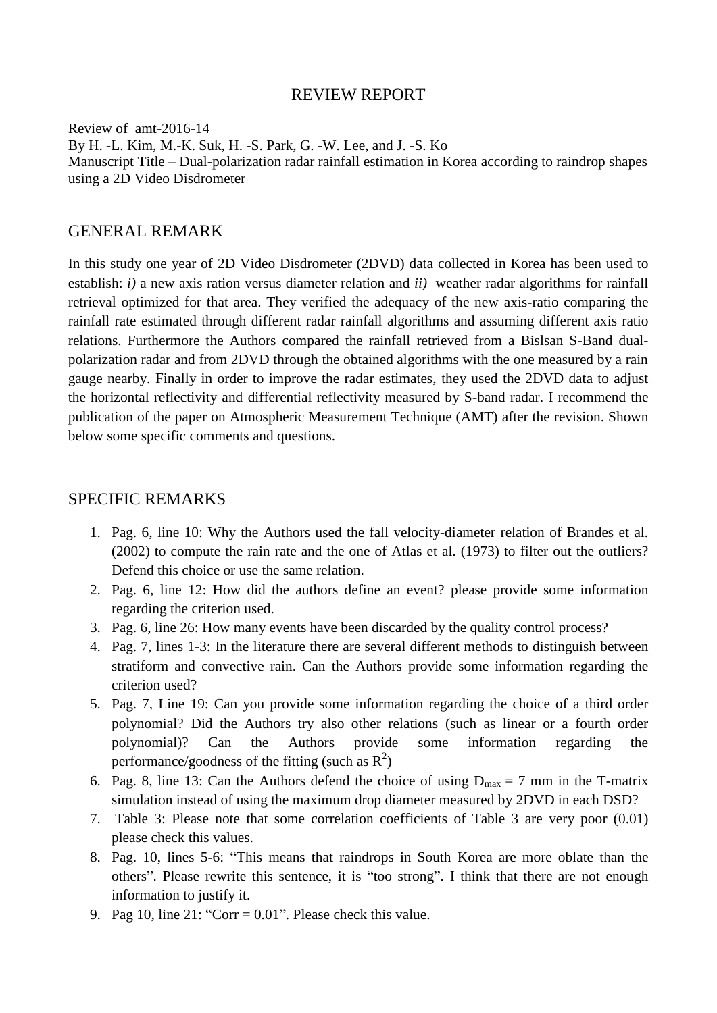#### REVIEW REPORT

Review of amt-2016-14 By H. -L. Kim, M.-K. Suk, H. -S. Park, G. -W. Lee, and J. -S. Ko Manuscript Title – Dual-polarization radar rainfall estimation in Korea according to raindrop shapes using a 2D Video Disdrometer

### GENERAL REMARK

In this study one year of 2D Video Disdrometer (2DVD) data collected in Korea has been used to establish: *i)* a new axis ration versus diameter relation and *ii)* weather radar algorithms for rainfall retrieval optimized for that area. They verified the adequacy of the new axis-ratio comparing the rainfall rate estimated through different radar rainfall algorithms and assuming different axis ratio relations. Furthermore the Authors compared the rainfall retrieved from a Bislsan S-Band dualpolarization radar and from 2DVD through the obtained algorithms with the one measured by a rain gauge nearby. Finally in order to improve the radar estimates, they used the 2DVD data to adjust the horizontal reflectivity and differential reflectivity measured by S-band radar. I recommend the publication of the paper on Atmospheric Measurement Technique (AMT) after the revision. Shown below some specific comments and questions.

## SPECIFIC REMARKS

- 1. Pag. 6, line 10: Why the Authors used the fall velocity-diameter relation of Brandes et al. (2002) to compute the rain rate and the one of Atlas et al. (1973) to filter out the outliers? Defend this choice or use the same relation.
- 2. Pag. 6, line 12: How did the authors define an event? please provide some information regarding the criterion used.
- 3. Pag. 6, line 26: How many events have been discarded by the quality control process?
- 4. Pag. 7, lines 1-3: In the literature there are several different methods to distinguish between stratiform and convective rain. Can the Authors provide some information regarding the criterion used?
- 5. Pag. 7, Line 19: Can you provide some information regarding the choice of a third order polynomial? Did the Authors try also other relations (such as linear or a fourth order polynomial)? Can the Authors provide some information regarding the performance/goodness of the fitting (such as  $R^2$ )
- 6. Pag. 8, line 13: Can the Authors defend the choice of using  $D_{max} = 7$  mm in the T-matrix simulation instead of using the maximum drop diameter measured by 2DVD in each DSD?
- 7. Table 3: Please note that some correlation coefficients of Table 3 are very poor (0.01) please check this values.
- 8. Pag. 10, lines 5-6: "This means that raindrops in South Korea are more oblate than the others". Please rewrite this sentence, it is "too strong". I think that there are not enough information to justify it.
- 9. Pag 10, line  $21:$  "Corr =  $0.01$ ". Please check this value.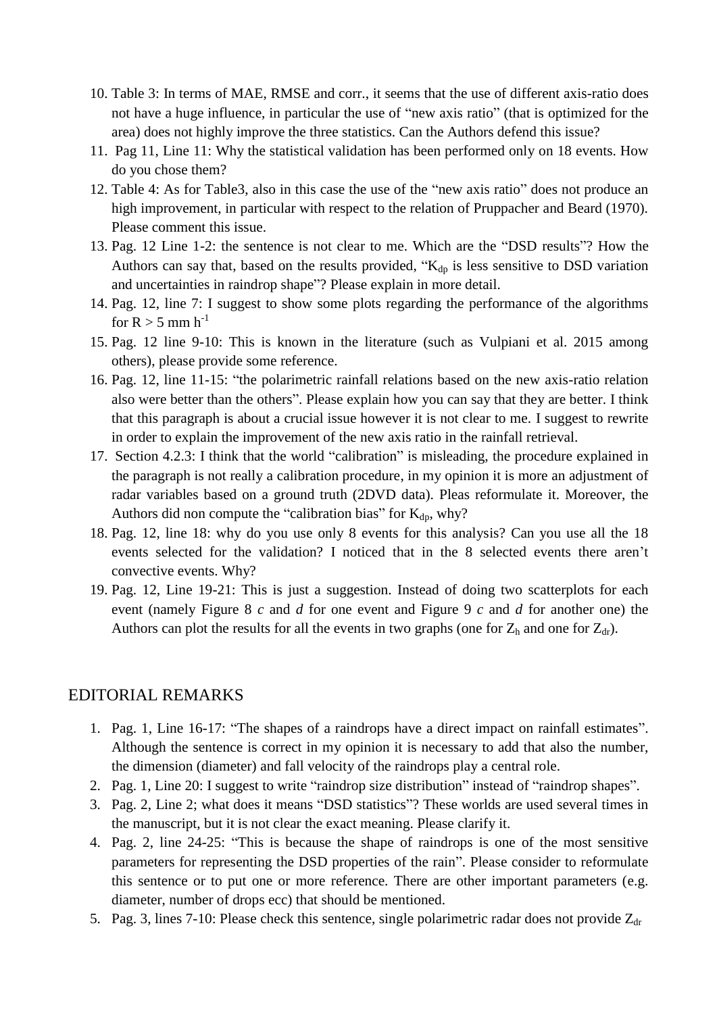- 10. Table 3: In terms of MAE, RMSE and corr., it seems that the use of different axis-ratio does not have a huge influence, in particular the use of "new axis ratio" (that is optimized for the area) does not highly improve the three statistics. Can the Authors defend this issue?
- 11. Pag 11, Line 11: Why the statistical validation has been performed only on 18 events. How do you chose them?
- 12. Table 4: As for Table3, also in this case the use of the "new axis ratio" does not produce an high improvement, in particular with respect to the relation of Pruppacher and Beard (1970). Please comment this issue.
- 13. Pag. 12 Line 1-2: the sentence is not clear to me. Which are the "DSD results"? How the Authors can say that, based on the results provided, " $K_{dp}$  is less sensitive to DSD variation and uncertainties in raindrop shape"? Please explain in more detail.
- 14. Pag. 12, line 7: I suggest to show some plots regarding the performance of the algorithms for  $R > 5$  mm h<sup>-1</sup>
- 15. Pag. 12 line 9-10: This is known in the literature (such as Vulpiani et al. 2015 among others), please provide some reference.
- 16. Pag. 12, line 11-15: "the polarimetric rainfall relations based on the new axis-ratio relation also were better than the others". Please explain how you can say that they are better. I think that this paragraph is about a crucial issue however it is not clear to me. I suggest to rewrite in order to explain the improvement of the new axis ratio in the rainfall retrieval.
- 17. Section 4.2.3: I think that the world "calibration" is misleading, the procedure explained in the paragraph is not really a calibration procedure, in my opinion it is more an adjustment of radar variables based on a ground truth (2DVD data). Pleas reformulate it. Moreover, the Authors did non compute the "calibration bias" for  $K_{dp}$ , why?
- 18. Pag. 12, line 18: why do you use only 8 events for this analysis? Can you use all the 18 events selected for the validation? I noticed that in the 8 selected events there aren't convective events. Why?
- 19. Pag. 12, Line 19-21: This is just a suggestion. Instead of doing two scatterplots for each event (namely Figure 8 *c* and *d* for one event and Figure 9 *c* and *d* for another one) the Authors can plot the results for all the events in two graphs (one for  $Z_h$  and one for  $Z_{dr}$ ).

# EDITORIAL REMARKS

- 1. Pag. 1, Line 16-17: "The shapes of a raindrops have a direct impact on rainfall estimates". Although the sentence is correct in my opinion it is necessary to add that also the number, the dimension (diameter) and fall velocity of the raindrops play a central role.
- 2. Pag. 1, Line 20: I suggest to write "raindrop size distribution" instead of "raindrop shapes".
- 3. Pag. 2, Line 2; what does it means "DSD statistics"? These worlds are used several times in the manuscript, but it is not clear the exact meaning. Please clarify it.
- 4. Pag. 2, line 24-25: "This is because the shape of raindrops is one of the most sensitive parameters for representing the DSD properties of the rain". Please consider to reformulate this sentence or to put one or more reference. There are other important parameters (e.g. diameter, number of drops ecc) that should be mentioned.
- 5. Pag. 3, lines 7-10: Please check this sentence, single polarimetric radar does not provide  $Z_{dr}$